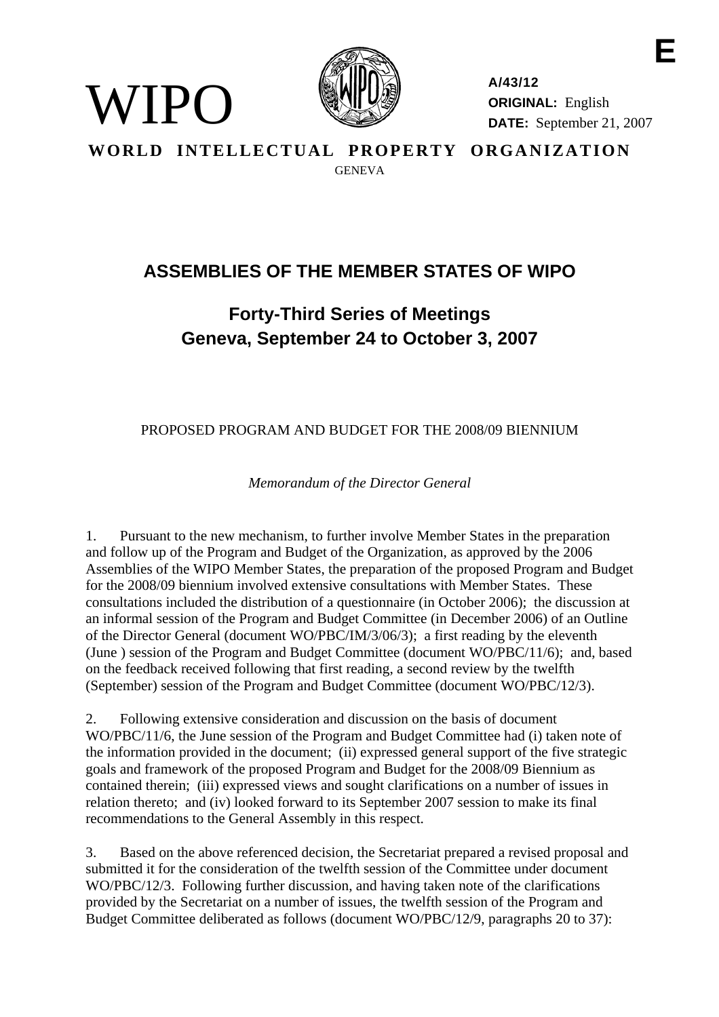

WIPO)

**A/43/12 ORIGINAL:** English **DATE:** September 21, 2007

**E** 

**WORLD INTELLECTUAL PROPERTY ORGANIZATION GENEVA** 

## **ASSEMBLIES OF THE MEMBER STATES OF WIPO**

## **Forty-Third Series of Meetings Geneva, September 24 to October 3, 2007**

PROPOSED PROGRAM AND BUDGET FOR THE 2008/09 BIENNIUM

*Memorandum of the Director General* 

1. Pursuant to the new mechanism, to further involve Member States in the preparation and follow up of the Program and Budget of the Organization, as approved by the 2006 Assemblies of the WIPO Member States, the preparation of the proposed Program and Budget for the 2008/09 biennium involved extensive consultations with Member States. These consultations included the distribution of a questionnaire (in October 2006); the discussion at an informal session of the Program and Budget Committee (in December 2006) of an Outline of the Director General (document WO/PBC/IM/3/06/3); a first reading by the eleventh (June ) session of the Program and Budget Committee (document WO/PBC/11/6); and, based on the feedback received following that first reading, a second review by the twelfth (September) session of the Program and Budget Committee (document WO/PBC/12/3).

2. Following extensive consideration and discussion on the basis of document WO/PBC/11/6, the June session of the Program and Budget Committee had (i) taken note of the information provided in the document; (ii) expressed general support of the five strategic goals and framework of the proposed Program and Budget for the 2008/09 Biennium as contained therein; (iii) expressed views and sought clarifications on a number of issues in relation thereto; and (iv) looked forward to its September 2007 session to make its final recommendations to the General Assembly in this respect.

3. Based on the above referenced decision, the Secretariat prepared a revised proposal and submitted it for the consideration of the twelfth session of the Committee under document WO/PBC/12/3. Following further discussion, and having taken note of the clarifications provided by the Secretariat on a number of issues, the twelfth session of the Program and Budget Committee deliberated as follows (document WO/PBC/12/9, paragraphs 20 to 37):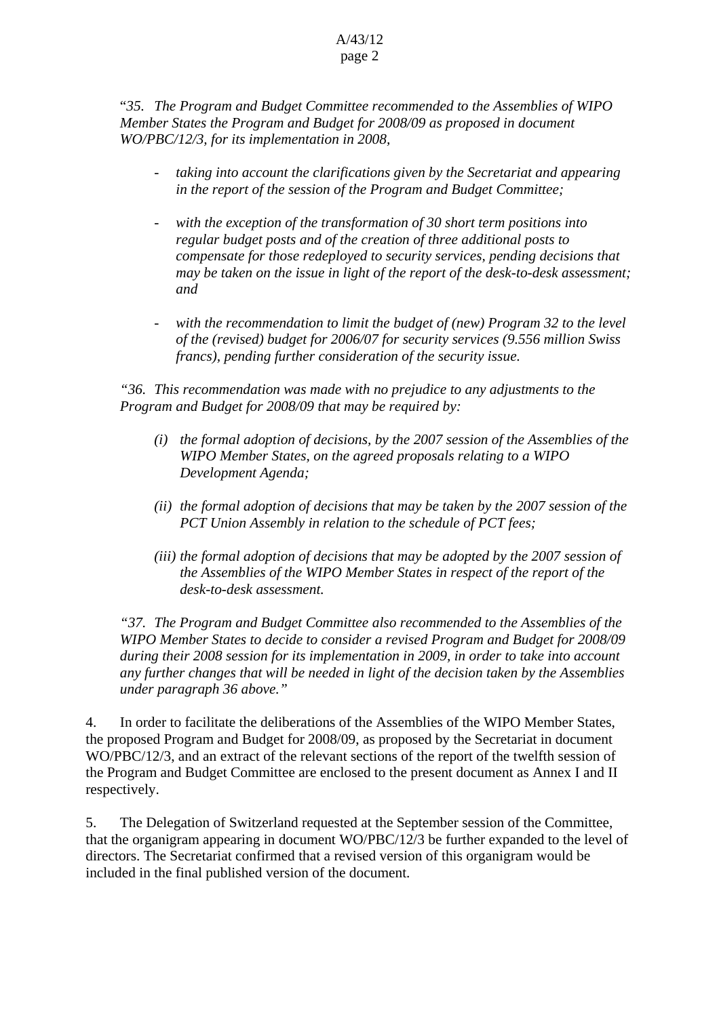## A/43/12 page 2

"*35. The Program and Budget Committee recommended to the Assemblies of WIPO Member States the Program and Budget for 2008/09 as proposed in document WO/PBC/12/3, for its implementation in 2008,* 

- *taking into account the clarifications given by the Secretariat and appearing in the report of the session of the Program and Budget Committee;*
- with the exception of the transformation of 30 short term positions into *regular budget posts and of the creation of three additional posts to compensate for those redeployed to security services, pending decisions that may be taken on the issue in light of the report of the desk-to-desk assessment; and*
- with the recommendation to limit the budget of (new) Program 32 to the level *of the (revised) budget for 2006/07 for security services (9.556 million Swiss francs), pending further consideration of the security issue.*

*"36. This recommendation was made with no prejudice to any adjustments to the Program and Budget for 2008/09 that may be required by:* 

- *(i) the formal adoption of decisions, by the 2007 session of the Assemblies of the WIPO Member States, on the agreed proposals relating to a WIPO Development Agenda;*
- *(ii) the formal adoption of decisions that may be taken by the 2007 session of the PCT Union Assembly in relation to the schedule of PCT fees;*
- *(iii) the formal adoption of decisions that may be adopted by the 2007 session of the Assemblies of the WIPO Member States in respect of the report of the desk-to-desk assessment.*

*"37. The Program and Budget Committee also recommended to the Assemblies of the WIPO Member States to decide to consider a revised Program and Budget for 2008/09 during their 2008 session for its implementation in 2009, in order to take into account any further changes that will be needed in light of the decision taken by the Assemblies under paragraph 36 above."* 

4. In order to facilitate the deliberations of the Assemblies of the WIPO Member States, the proposed Program and Budget for 2008/09, as proposed by the Secretariat in document WO/PBC/12/3, and an extract of the relevant sections of the report of the twelfth session of the Program and Budget Committee are enclosed to the present document as Annex I and II respectively.

5. The Delegation of Switzerland requested at the September session of the Committee, that the organigram appearing in document WO/PBC/12/3 be further expanded to the level of directors. The Secretariat confirmed that a revised version of this organigram would be included in the final published version of the document.